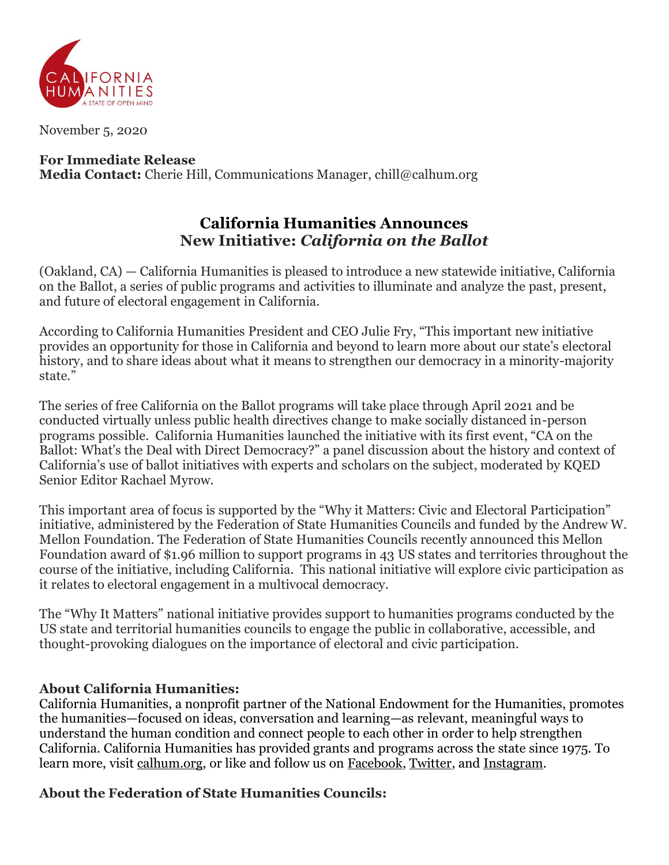

November 5, 2020

### **For Immediate Release Media Contact:** Cherie Hill, Communications Manager, chill@calhum.org

# **California Humanities Announces New Initiative:** *California on the Ballot*

(Oakland, CA) — California Humanities is pleased to introduce a new statewide initiative, California on the Ballot, a series of public programs and activities to illuminate and analyze the past, present, and future of electoral engagement in California.

According to California Humanities President and CEO Julie Fry, "This important new initiative provides an opportunity for those in California and beyond to learn more about our state's electoral history, and to share ideas about what it means to strengthen our democracy in a minority-majority state."

The series of free California on the Ballot programs will take place through April 2021 and be conducted virtually unless public health directives change to make socially distanced in-person programs possible. California Humanities launched the initiative with its first event, "CA on the Ballot: What's the Deal with Direct Democracy?" a panel discussion about the history and context of California's use of ballot initiatives with experts and scholars on the subject, moderated by KQED Senior Editor Rachael Myrow.

This important area of focus is supported by the "Why it Matters: Civic and Electoral Participation" initiative, administered by the Federation of State Humanities Councils and funded by the Andrew W. Mellon Foundation. The Federation of State Humanities Councils recently announced this Mellon Foundation award of \$1.96 million to support programs in 43 US states and territories throughout the course of the initiative, including California. This national initiative will explore civic participation as it relates to electoral engagement in a multivocal democracy.

The "Why It Matters" national initiative provides support to humanities programs conducted by the US state and territorial humanities councils to engage the public in collaborative, accessible, and thought-provoking dialogues on the importance of electoral and civic participation.

#### **About California Humanities:**

California Humanities, a nonprofit partner of the National Endowment for the Humanities, promotes the humanities—focused on ideas, conversation and learning—as relevant, meaningful ways to understand the human condition and connect people to each other in order to help strengthen California. California Humanities has provided grants and programs across the state since 1975. To learn more, visit [calhum.org,](http://www.calhum.org/) or like and follow us on [Facebook,](https://www.facebook.com/calhumanities/) [Twitter,](https://twitter.com/Cal_Humanities) and [Instagram.](https://www.instagram.com/california_humanities/)

## **About the Federation of State Humanities Councils:**